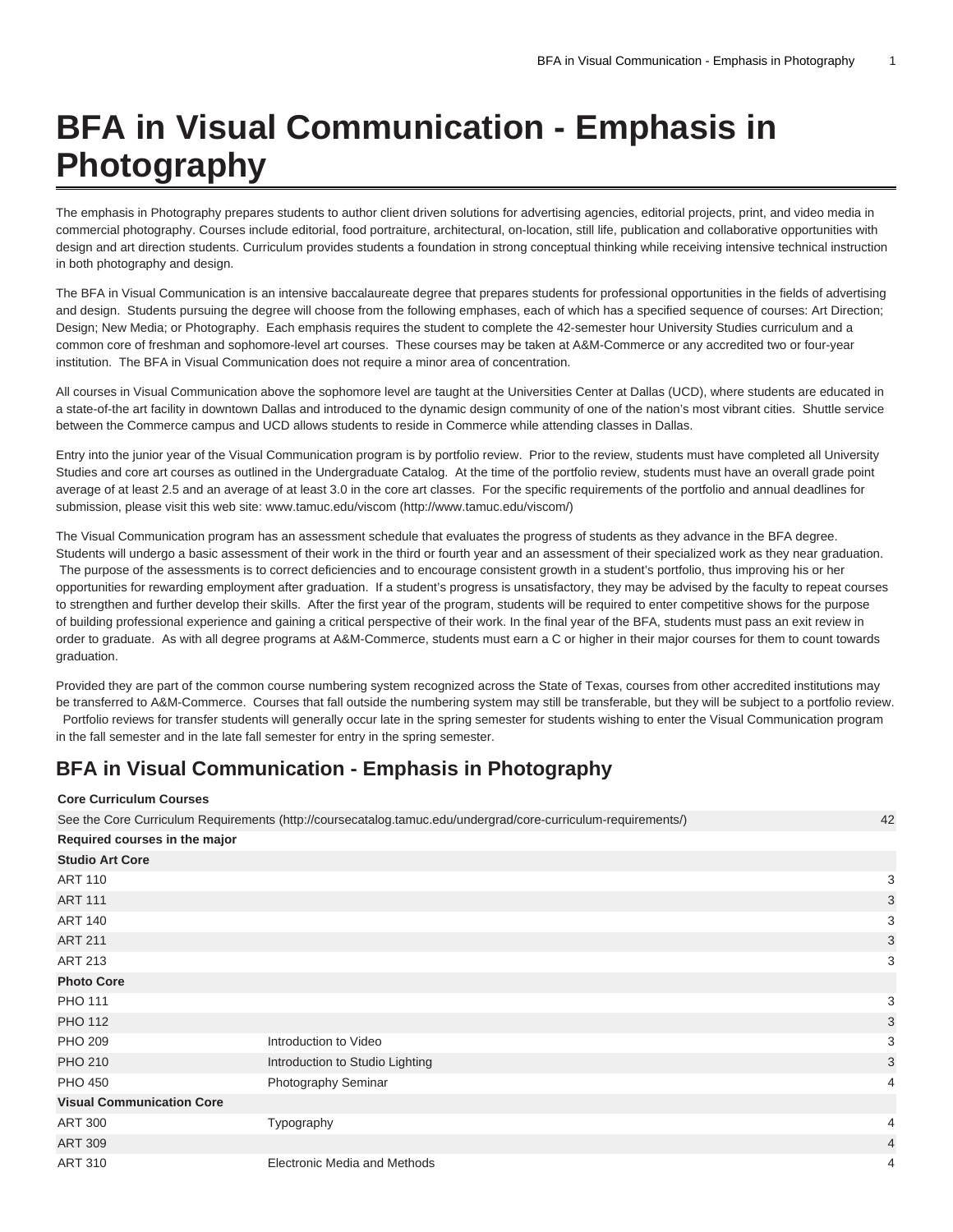## **BFA in Visual Communication - Emphasis in Photography**

The emphasis in Photography prepares students to author client driven solutions for advertising agencies, editorial projects, print, and video media in commercial photography. Courses include editorial, food portraiture, architectural, on-location, still life, publication and collaborative opportunities with design and art direction students. Curriculum provides students a foundation in strong conceptual thinking while receiving intensive technical instruction in both photography and design.

The BFA in Visual Communication is an intensive baccalaureate degree that prepares students for professional opportunities in the fields of advertising and design. Students pursuing the degree will choose from the following emphases, each of which has a specified sequence of courses: Art Direction; Design; New Media; or Photography. Each emphasis requires the student to complete the 42-semester hour University Studies curriculum and a common core of freshman and sophomore-level art courses. These courses may be taken at A&M-Commerce or any accredited two or four-year institution. The BFA in Visual Communication does not require a minor area of concentration.

All courses in Visual Communication above the sophomore level are taught at the Universities Center at Dallas (UCD), where students are educated in a state-of-the art facility in downtown Dallas and introduced to the dynamic design community of one of the nation's most vibrant cities. Shuttle service between the Commerce campus and UCD allows students to reside in Commerce while attending classes in Dallas.

Entry into the junior year of the Visual Communication program is by portfolio review. Prior to the review, students must have completed all University Studies and core art courses as outlined in the Undergraduate Catalog. At the time of the portfolio review, students must have an overall grade point average of at least 2.5 and an average of at least 3.0 in the core art classes. For the specific requirements of the portfolio and annual deadlines for submission, please visit this web site: [www.tamuc.edu/viscom](http://www.tamuc.edu/viscom/) ([http://www.tamuc.edu/viscom/\)](http://www.tamuc.edu/viscom/)

The Visual Communication program has an assessment schedule that evaluates the progress of students as they advance in the BFA degree. Students will undergo a basic assessment of their work in the third or fourth year and an assessment of their specialized work as they near graduation. The purpose of the assessments is to correct deficiencies and to encourage consistent growth in a student's portfolio, thus improving his or her opportunities for rewarding employment after graduation. If a student's progress is unsatisfactory, they may be advised by the faculty to repeat courses to strengthen and further develop their skills. After the first year of the program, students will be required to enter competitive shows for the purpose of building professional experience and gaining a critical perspective of their work. In the final year of the BFA, students must pass an exit review in order to graduate. As with all degree programs at A&M-Commerce, students must earn a C or higher in their major courses for them to count towards graduation.

Provided they are part of the common course numbering system recognized across the State of Texas, courses from other accredited institutions may be transferred to A&M-Commerce. Courses that fall outside the numbering system may still be transferable, but they will be subject to a portfolio review. Portfolio reviews for transfer students will generally occur late in the spring semester for students wishing to enter the Visual Communication program in the fall semester and in the late fall semester for entry in the spring semester.

## **BFA in Visual Communication - Emphasis in Photography**

## **Core Curriculum Courses**

See the [Core Curriculum Requirements](http://coursecatalog.tamuc.edu/undergrad/core-curriculum-requirements/) ([http://coursecatalog.tamuc.edu/undergrad/core-curriculum-requirements/\)](http://coursecatalog.tamuc.edu/undergrad/core-curriculum-requirements/) 42

| Required courses in the major    |                                     |                |
|----------------------------------|-------------------------------------|----------------|
| <b>Studio Art Core</b>           |                                     |                |
| <b>ART 110</b>                   |                                     | 3              |
| <b>ART 111</b>                   |                                     | 3              |
| <b>ART 140</b>                   |                                     | 3              |
| <b>ART 211</b>                   |                                     | 3              |
| <b>ART 213</b>                   |                                     | 3              |
| <b>Photo Core</b>                |                                     |                |
| <b>PHO 111</b>                   |                                     | 3              |
| <b>PHO 112</b>                   |                                     | 3              |
| <b>PHO 209</b>                   | Introduction to Video               | 3              |
| <b>PHO 210</b>                   | Introduction to Studio Lighting     | 3              |
| <b>PHO 450</b>                   | Photography Seminar                 | 4              |
| <b>Visual Communication Core</b> |                                     |                |
| <b>ART 300</b>                   | Typography                          | 4              |
| <b>ART 309</b>                   |                                     | $\overline{4}$ |
| <b>ART 310</b>                   | <b>Electronic Media and Methods</b> | 4              |